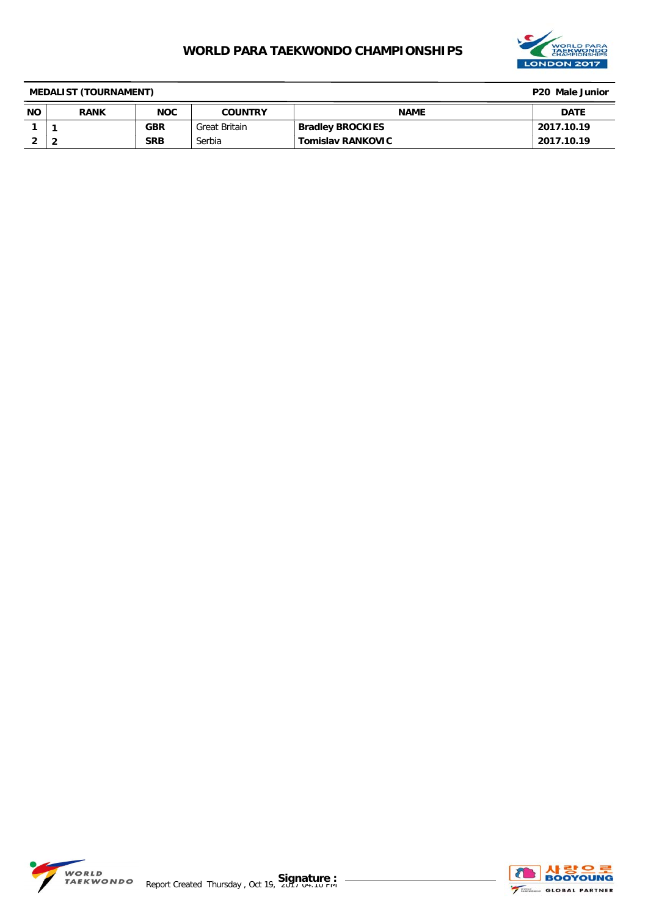

| <b>MEDALIST (TOURNAMENT)</b> | P <sub>20</sub> Male Junior |            |                |                          |             |
|------------------------------|-----------------------------|------------|----------------|--------------------------|-------------|
| <b>NO</b>                    | <b>RANK</b>                 | <b>NOC</b> | <b>COUNTRY</b> | <b>NAME</b>              | <b>DATE</b> |
|                              |                             | GBR        | Great Britain  | <b>Bradley BROCKIES</b>  | 2017.10.19  |
|                              |                             | <b>SRB</b> | Serbia         | <b>Tomislav RANKOVIC</b> | 2017.10.19  |

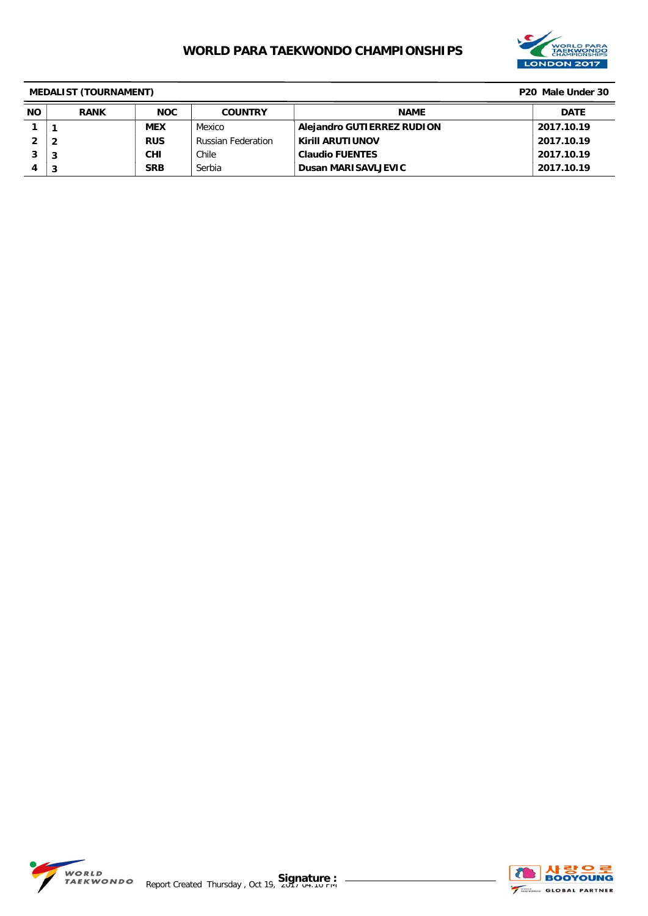

|           | <b>MEDALIST (TOURNAMENT)</b><br>P <sub>20</sub> Male Under 30 |            |                           |                              |             |  |
|-----------|---------------------------------------------------------------|------------|---------------------------|------------------------------|-------------|--|
| <b>NO</b> | <b>RANK</b>                                                   | <b>NOC</b> | <b>COUNTRY</b>            | <b>NAME</b>                  | <b>DATE</b> |  |
|           |                                                               | <b>MEX</b> | Mexico                    | Alejandro GUTIERREZ RUDION   | 2017.10.19  |  |
| 2         |                                                               | <b>RUS</b> | <b>Russian Federation</b> | <b>Kirill ARUTIUNOV</b>      | 2017.10.19  |  |
|           | 3                                                             | <b>CHI</b> | Chile                     | <sup>'</sup> Claudio FUENTES | 2017.10.19  |  |
| 4         | 3                                                             | <b>SRB</b> | Serbia                    | <b>Dusan MARISAVLJEVIC</b>   | 2017.10.19  |  |

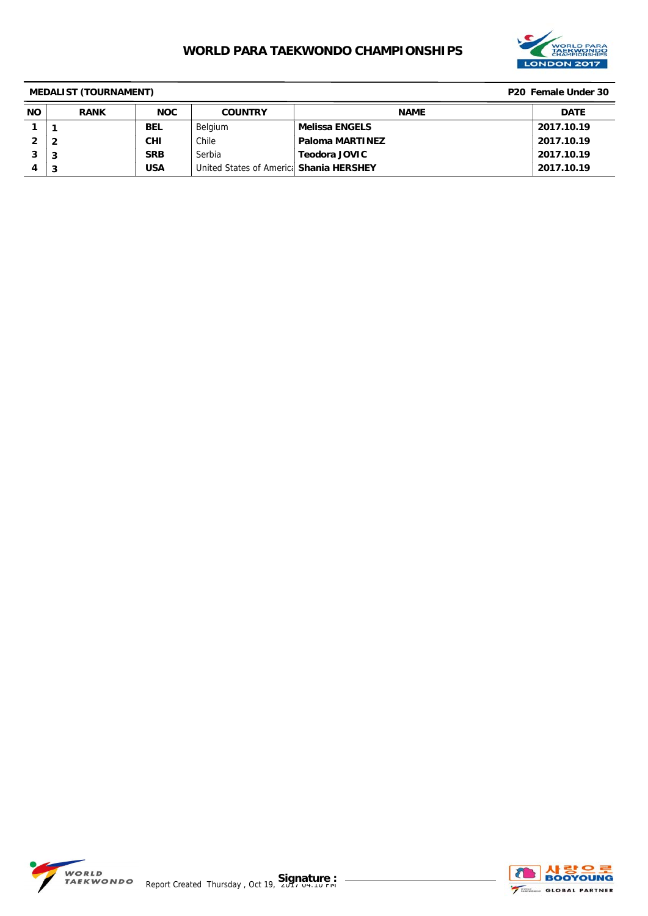

| <b>MEDALIST (TOURNAMENT)</b><br>P <sub>20</sub> Female Under 30 |                |            |                                          |                        |             |
|-----------------------------------------------------------------|----------------|------------|------------------------------------------|------------------------|-------------|
| <b>NO</b>                                                       | <b>RANK</b>    | <b>NOC</b> | <b>COUNTRY</b>                           | <b>NAME</b>            | <b>DATE</b> |
|                                                                 |                | <b>BEL</b> | Belgium                                  | Melissa ENGELS         | 2017.10.19  |
|                                                                 | $\overline{2}$ | <b>CHI</b> | Chile                                    | <b>Paloma MARTINEZ</b> | 2017.10.19  |
|                                                                 | 3              | <b>SRB</b> | Serbia                                   | <b>Teodora JOVIC</b>   | 2017.10.19  |
| 4                                                               | 3              | <b>USA</b> | United States of Americal Shania HERSHEY |                        | 2017.10.19  |

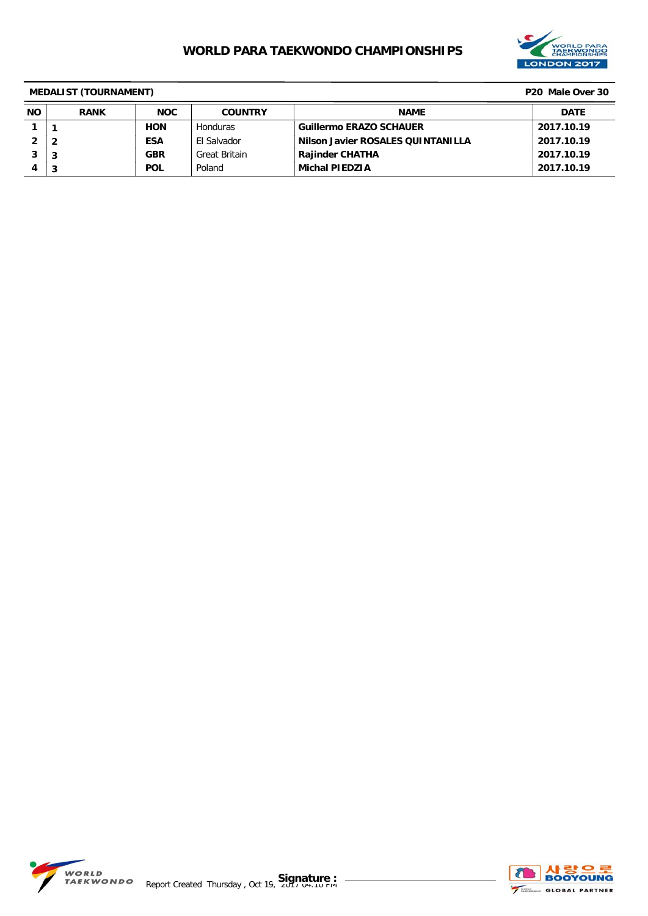

|           | <b>MEDALIST (TOURNAMENT)</b> |            |                      |                                   |             |  |
|-----------|------------------------------|------------|----------------------|-----------------------------------|-------------|--|
| <b>NO</b> | <b>RANK</b>                  | <b>NOC</b> | <b>COUNTRY</b>       | <b>NAME</b>                       | <b>DATE</b> |  |
|           |                              | <b>HON</b> | <b>Honduras</b>      | <b>Guillermo ERAZO SCHAUER</b>    | 2017.10.19  |  |
|           | $\overline{\mathbf{2}}$      | <b>ESA</b> | El Salvador          | Nilson Javier ROSALES QUINTANILLA | 2017.10.19  |  |
| 3         | 3                            | <b>GBR</b> | <b>Great Britain</b> | <b>Rajinder CHATHA</b>            | 2017.10.19  |  |
|           | 3                            | <b>POL</b> | Poland               | <b>Michal PIEDZIA</b>             | 2017.10.19  |  |

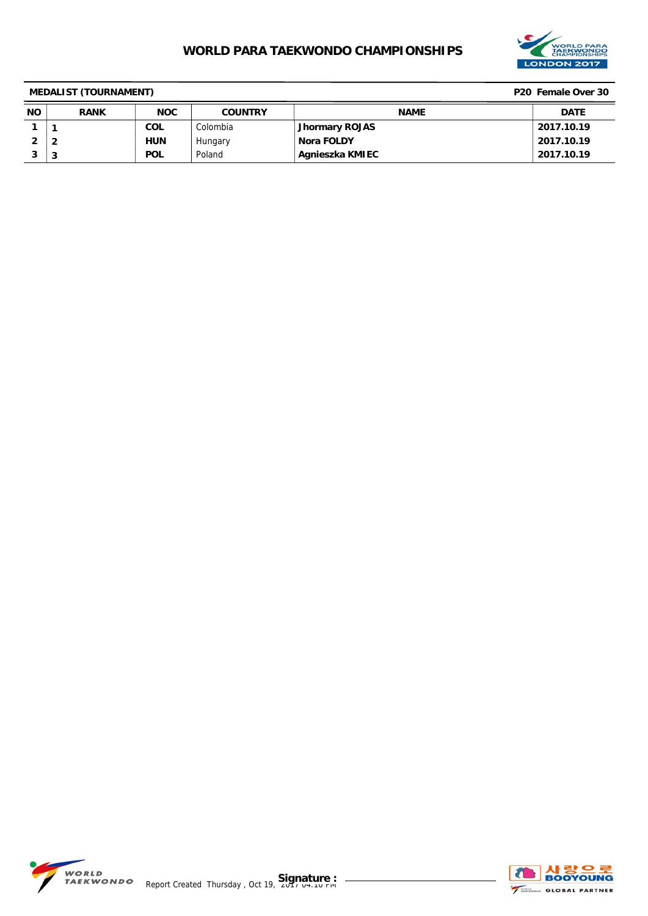

|           | <b>MEDALIST (TOURNAMENT)</b><br>P20 Female Over 30 |            |                |                 |             |  |
|-----------|----------------------------------------------------|------------|----------------|-----------------|-------------|--|
| <b>NO</b> | <b>RANK</b>                                        | <b>NOC</b> | <b>COUNTRY</b> | <b>NAME</b>     | <b>DATE</b> |  |
|           |                                                    | <b>COL</b> | Colombia       | Jhormary ROJAS  | 2017.10.19  |  |
|           | 2                                                  | <b>HUN</b> | Hungary        | Nora FOLDY      | 2017.10.19  |  |
| o         | 3                                                  | <b>POL</b> | Poland         | Agnieszka KMIEC | 2017.10.19  |  |

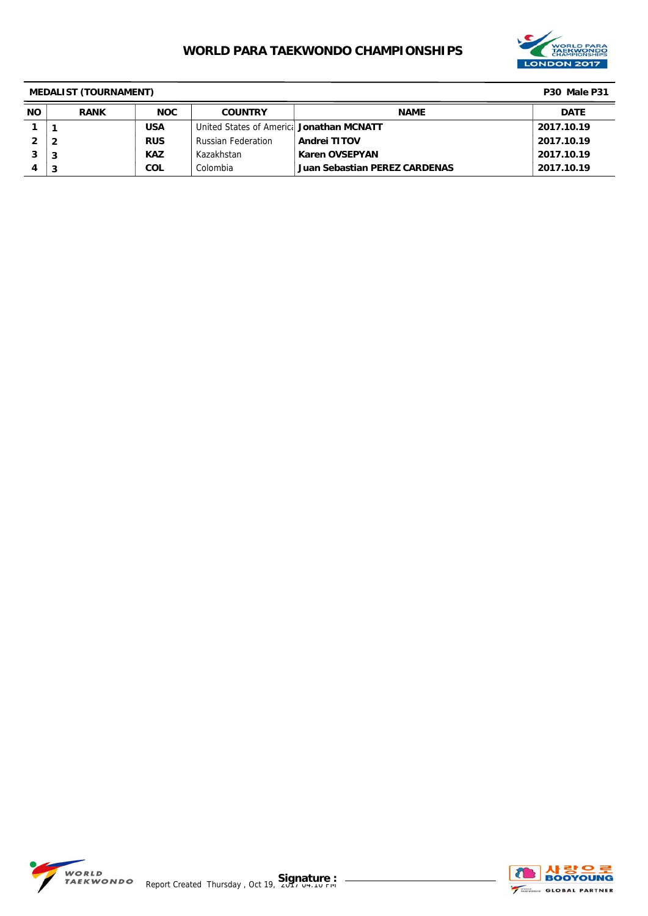

| <b>MEDALIST (TOURNAMENT)</b> |             |            |                                           |                               |             |
|------------------------------|-------------|------------|-------------------------------------------|-------------------------------|-------------|
| <b>NO</b>                    | <b>RANK</b> | <b>NOC</b> | <b>COUNTRY</b>                            | <b>NAME</b>                   | <b>DATE</b> |
|                              |             | <b>USA</b> | United States of Americal Jonathan MCNATT |                               | 2017.10.19  |
|                              |             | <b>RUS</b> | <b>Russian Federation</b>                 | <b>Andrei TITOV</b>           | 2017.10.19  |
|                              | 3           | <b>KAZ</b> | Kazakhstan                                | <b>Karen OVSEPYAN</b>         | 2017.10.19  |
| 4                            | 3           | COL        | Colombia                                  | Juan Sebastian PEREZ CARDENAS | 2017.10.19  |

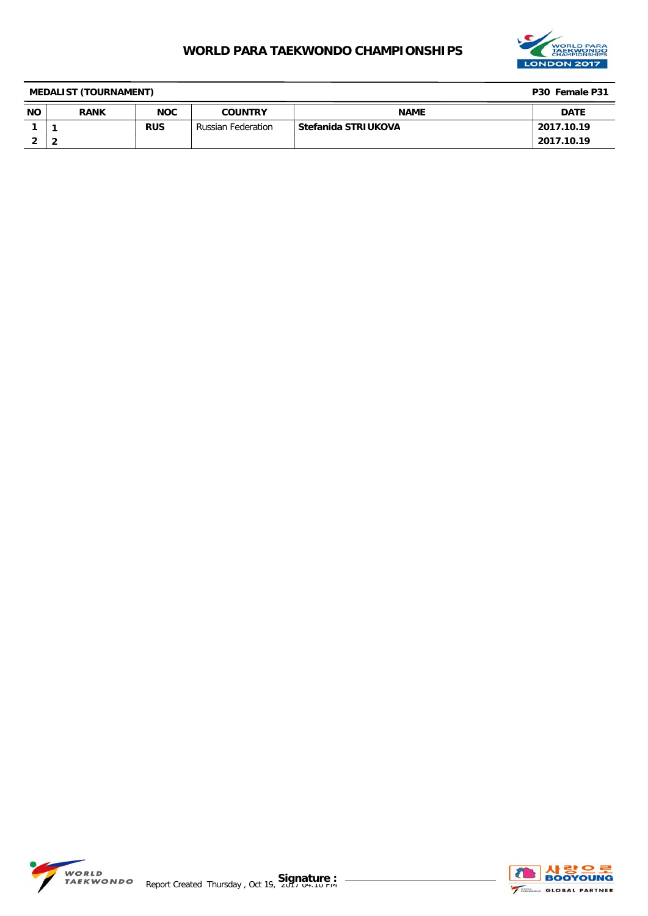

| <b>MEDALIST (TOURNAMENT)</b> |             |            |                    |                     | P30 Female P31 |
|------------------------------|-------------|------------|--------------------|---------------------|----------------|
| <b>NO</b>                    | <b>RANK</b> | <b>NOC</b> | <b>COUNTRY</b>     | <b>NAME</b>         | <b>DATE</b>    |
|                              |             | <b>RUS</b> | Russian Federation | Stefanida STRIUKOVA | 2017.10.19     |
| ∠                            |             |            |                    |                     | 2017.10.19     |

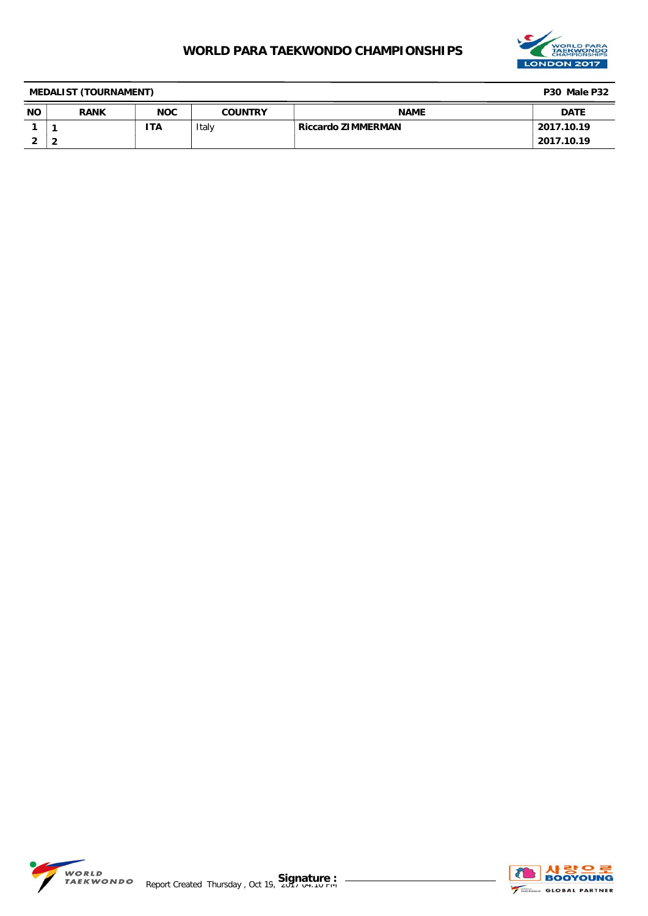

| <b>MEDALIST (TOURNAMENT)</b> |             |            |                |                    | P30 Male P32 |
|------------------------------|-------------|------------|----------------|--------------------|--------------|
| <b>NO</b>                    | <b>RANK</b> | <b>NOC</b> | <b>COUNTRY</b> | <b>NAME</b>        | <b>DATE</b>  |
|                              |             | ΤA         | Italy          | Riccardo ZIMMERMAN | 2017.10.19   |
| -                            |             |            |                |                    | 2017.10.19   |

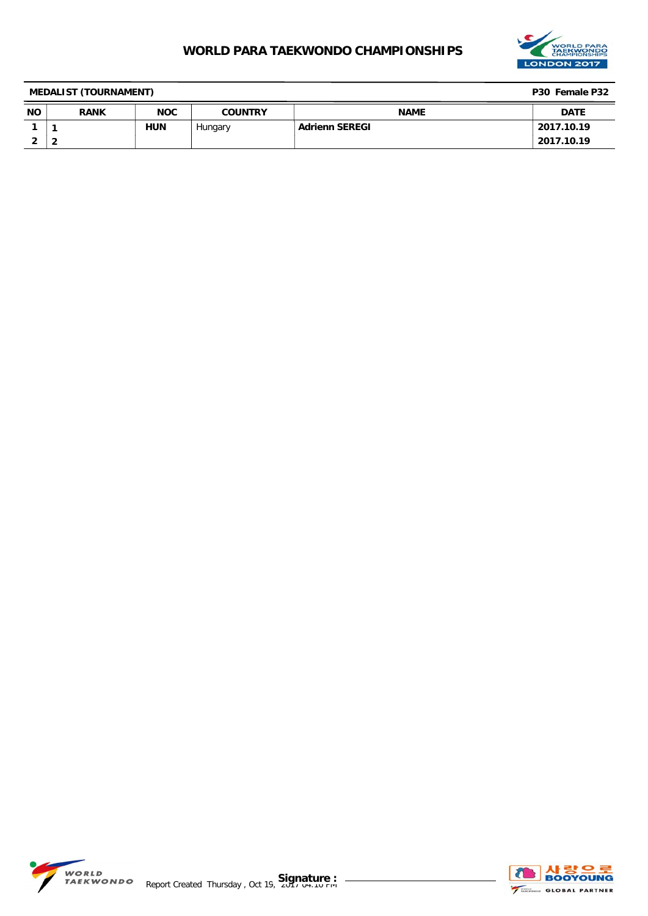

| <b>MEDALIST (TOURNAMENT)</b> |             |            |                |                       | P30 Female P32 |
|------------------------------|-------------|------------|----------------|-----------------------|----------------|
| <b>NO</b>                    | <b>RANK</b> | <b>NOC</b> | <b>COUNTRY</b> | <b>NAME</b>           | <b>DATE</b>    |
|                              |             | <b>HUN</b> | Hungary        | <b>Adrienn SEREGI</b> | 2017.10.19     |
|                              |             |            |                |                       | 2017.10.19     |

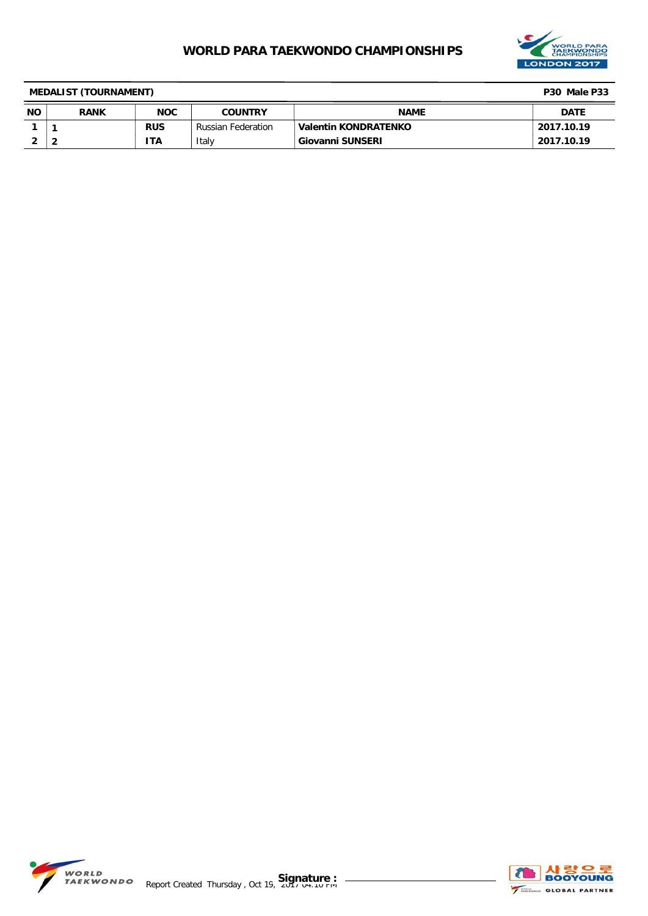

| <b>MEDALIST (TOURNAMENT)</b> |             |            |                           |                               |             |
|------------------------------|-------------|------------|---------------------------|-------------------------------|-------------|
| <b>NO</b>                    | <b>RANK</b> | <b>NOC</b> | <b>COUNTRY</b>            | <b>NAME</b>                   | <b>DATE</b> |
|                              |             | <b>RUS</b> | <b>Russian Federation</b> | Valentin KONDRATENKO          | 2017.10.19  |
|                              |             | 'TA        | Italy                     | <sup>1</sup> Giovanni SUNSERI | 2017.10.19  |

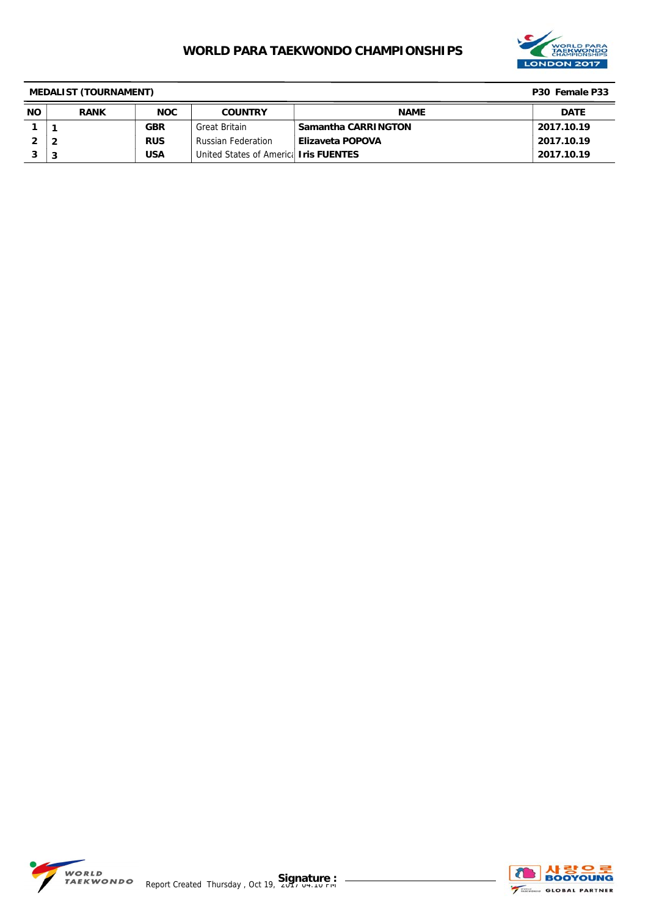

| <b>MEDALIST (TOURNAMENT)</b><br>P30 Female P33 |             |            |                                               |                         |             |
|------------------------------------------------|-------------|------------|-----------------------------------------------|-------------------------|-------------|
| <b>NO</b>                                      | <b>RANK</b> | <b>NOC</b> | <b>COUNTRY</b>                                | <b>NAME</b>             | <b>DATE</b> |
|                                                |             | <b>GBR</b> | Great Britain                                 | Samantha CARRINGTON     | 2017.10.19  |
|                                                |             | <b>RUS</b> | <b>Russian Federation</b>                     | <b>Elizaveta POPOVA</b> | 2017.10.19  |
|                                                | 3           | <b>USA</b> | United States of Americal <b>Iris FUENTES</b> |                         | 2017.10.19  |

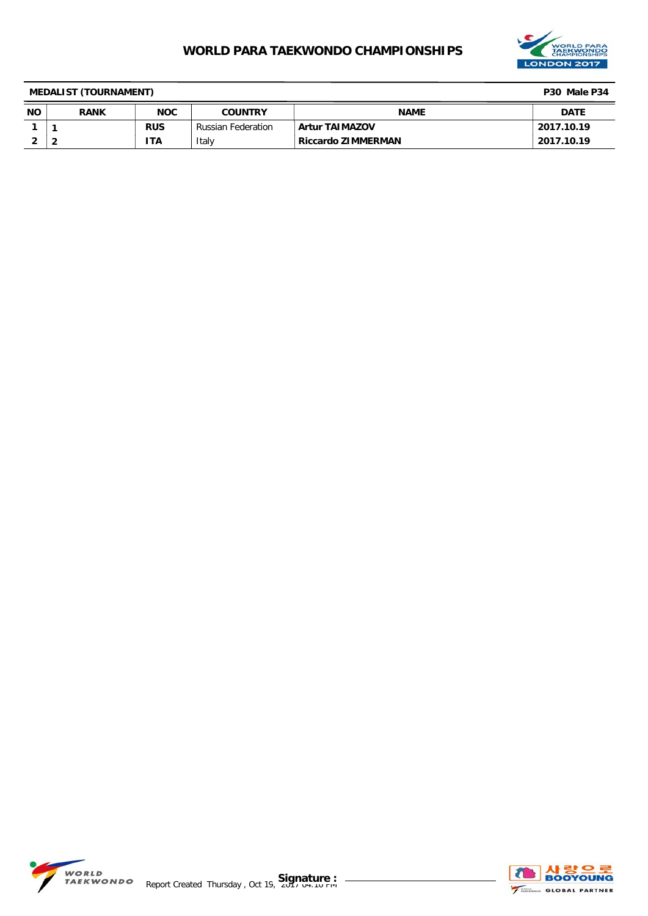

| <b>MEDALIST (TOURNAMENT)</b> |             |            |                           |                       |             |
|------------------------------|-------------|------------|---------------------------|-----------------------|-------------|
| <b>NO</b>                    | <b>RANK</b> | <b>NOC</b> | <b>COUNTRY</b>            | <b>NAME</b>           | <b>DATE</b> |
|                              |             | <b>RUS</b> | <b>Russian Federation</b> | <b>Artur TAIMAZOV</b> | 2017.10.19  |
|                              | 2           | 'TA        | Italy                     | Riccardo ZIMMERMAN    | 2017.10.19  |